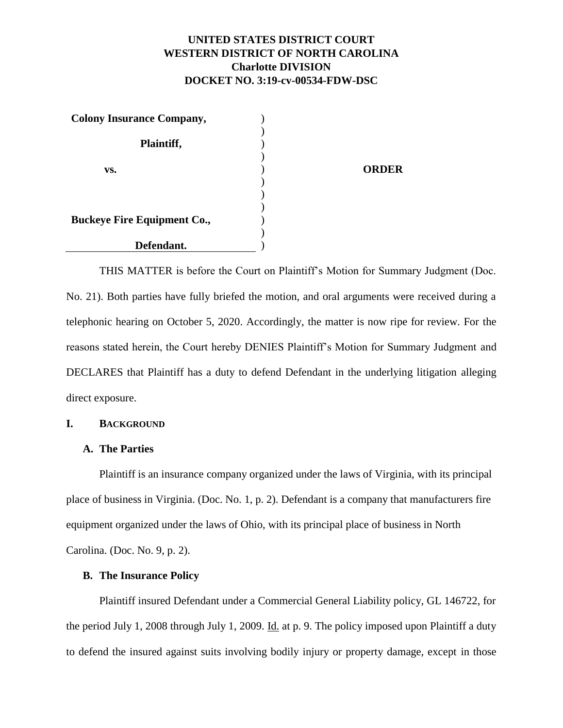# **UNITED STATES DISTRICT COURT WESTERN DISTRICT OF NORTH CAROLINA Charlotte DIVISION DOCKET NO. 3:19-cv-00534-FDW-DSC**

| <b>Colony Insurance Company,</b>   |              |
|------------------------------------|--------------|
|                                    |              |
| Plaintiff,                         |              |
|                                    |              |
| VS.                                | <b>ORDER</b> |
|                                    |              |
|                                    |              |
|                                    |              |
| <b>Buckeye Fire Equipment Co.,</b> |              |
|                                    |              |
| Defendant.                         |              |

THIS MATTER is before the Court on Plaintiff's Motion for Summary Judgment (Doc. No. 21). Both parties have fully briefed the motion, and oral arguments were received during a telephonic hearing on October 5, 2020. Accordingly, the matter is now ripe for review. For the reasons stated herein, the Court hereby DENIES Plaintiff's Motion for Summary Judgment and DECLARES that Plaintiff has a duty to defend Defendant in the underlying litigation alleging direct exposure.

## **I. BACKGROUND**

## **A. The Parties**

Plaintiff is an insurance company organized under the laws of Virginia, with its principal place of business in Virginia. (Doc. No. 1, p. 2). Defendant is a company that manufacturers fire equipment organized under the laws of Ohio, with its principal place of business in North Carolina. (Doc. No. 9, p. 2).

#### **B. The Insurance Policy**

Plaintiff insured Defendant under a Commercial General Liability policy, GL 146722, for the period July 1, 2008 through July 1, 2009. Id. at p. 9. The policy imposed upon Plaintiff a duty to defend the insured against suits involving bodily injury or property damage, except in those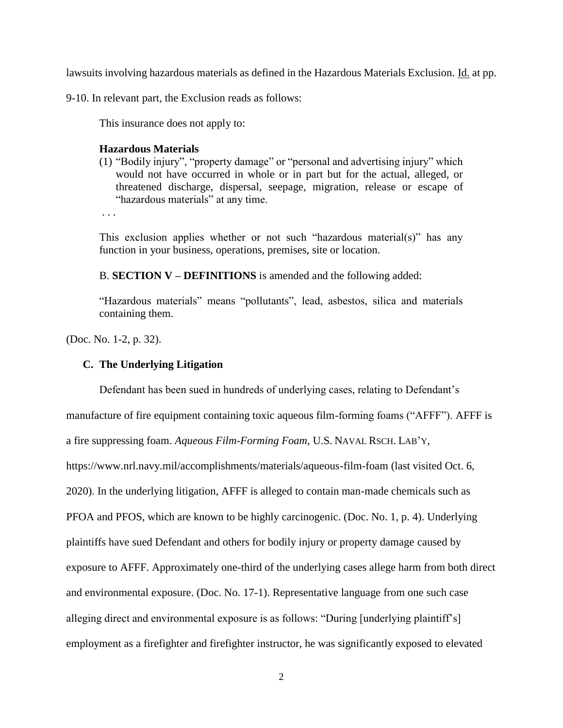lawsuits involving hazardous materials as defined in the Hazardous Materials Exclusion. Id. at pp.

9-10. In relevant part, the Exclusion reads as follows:

This insurance does not apply to:

#### **Hazardous Materials**

(1) "Bodily injury", "property damage" or "personal and advertising injury" which would not have occurred in whole or in part but for the actual, alleged, or threatened discharge, dispersal, seepage, migration, release or escape of "hazardous materials" at any time.

. . .

This exclusion applies whether or not such "hazardous material(s)" has any function in your business, operations, premises, site or location.

B. **SECTION V – DEFINITIONS** is amended and the following added:

"Hazardous materials" means "pollutants", lead, asbestos, silica and materials containing them.

(Doc. No. 1-2, p. 32).

#### **C. The Underlying Litigation**

Defendant has been sued in hundreds of underlying cases, relating to Defendant's

manufacture of fire equipment containing toxic aqueous film-forming foams ("AFFF"). AFFF is

a fire suppressing foam. *Aqueous Film-Forming Foam*, U.S. NAVAL RSCH. LAB'Y,

https://www.nrl.navy.mil/accomplishments/materials/aqueous-film-foam (last visited Oct. 6,

2020). In the underlying litigation, AFFF is alleged to contain man-made chemicals such as

PFOA and PFOS, which are known to be highly carcinogenic. (Doc. No. 1, p. 4). Underlying

plaintiffs have sued Defendant and others for bodily injury or property damage caused by

exposure to AFFF. Approximately one-third of the underlying cases allege harm from both direct

and environmental exposure. (Doc. No. 17-1). Representative language from one such case

alleging direct and environmental exposure is as follows: "During [underlying plaintiff's]

employment as a firefighter and firefighter instructor, he was significantly exposed to elevated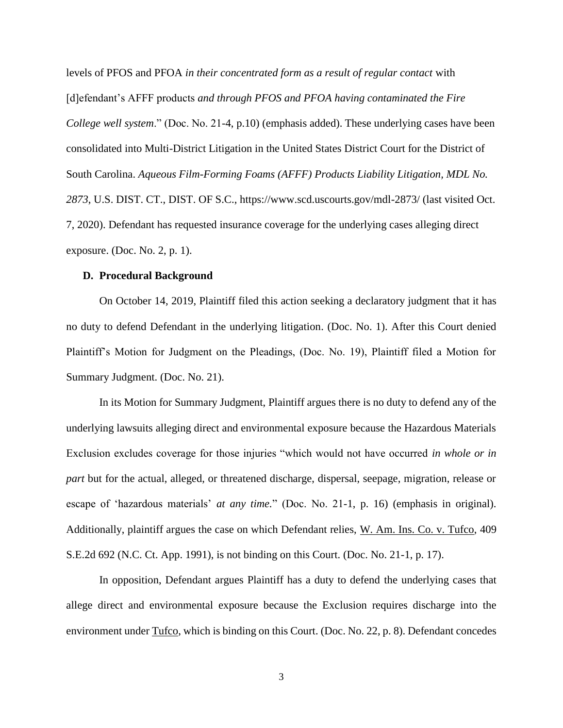levels of PFOS and PFOA *in their concentrated form as a result of regular contact* with [d]efendant's AFFF products *and through PFOS and PFOA having contaminated the Fire College well system*." (Doc. No. 21-4, p.10) (emphasis added). These underlying cases have been consolidated into Multi-District Litigation in the United States District Court for the District of South Carolina. *Aqueous Film-Forming Foams (AFFF) Products Liability Litigation, MDL No. 2873*, U.S. DIST. CT., DIST. OF S.C., https://www.scd.uscourts.gov/mdl-2873/ (last visited Oct. 7, 2020). Defendant has requested insurance coverage for the underlying cases alleging direct exposure. (Doc. No. 2, p. 1).

#### **D. Procedural Background**

On October 14, 2019, Plaintiff filed this action seeking a declaratory judgment that it has no duty to defend Defendant in the underlying litigation. (Doc. No. 1). After this Court denied Plaintiff's Motion for Judgment on the Pleadings, (Doc. No. 19), Plaintiff filed a Motion for Summary Judgment. (Doc. No. 21).

In its Motion for Summary Judgment, Plaintiff argues there is no duty to defend any of the underlying lawsuits alleging direct and environmental exposure because the Hazardous Materials Exclusion excludes coverage for those injuries "which would not have occurred *in whole or in part* but for the actual, alleged, or threatened discharge, dispersal, seepage, migration, release or escape of 'hazardous materials' *at any time.*" (Doc. No. 21-1, p. 16) (emphasis in original). Additionally, plaintiff argues the case on which Defendant relies, W. Am. Ins. Co. v. Tufco, 409 S.E.2d 692 (N.C. Ct. App. 1991), is not binding on this Court. (Doc. No. 21-1, p. 17).

In opposition, Defendant argues Plaintiff has a duty to defend the underlying cases that allege direct and environmental exposure because the Exclusion requires discharge into the environment under Tufco, which is binding on this Court. (Doc. No. 22, p. 8). Defendant concedes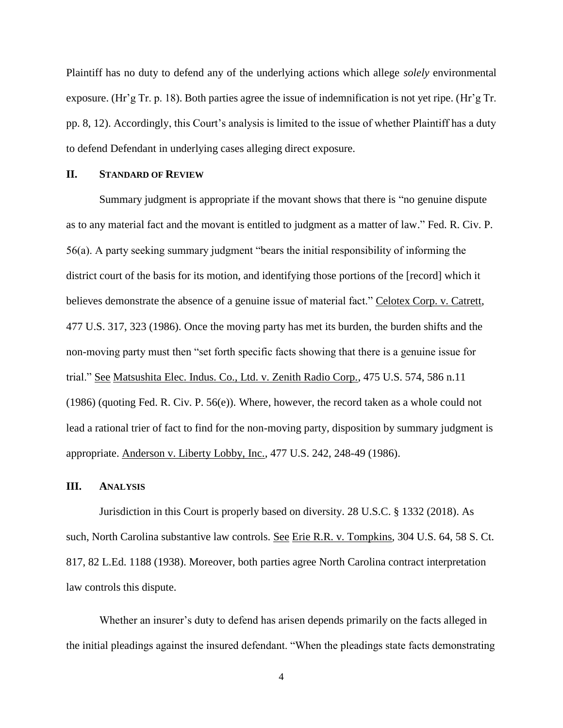Plaintiff has no duty to defend any of the underlying actions which allege *solely* environmental exposure. (Hr'g Tr. p. 18). Both parties agree the issue of indemnification is not yet ripe. (Hr'g Tr. pp. 8, 12). Accordingly, this Court's analysis is limited to the issue of whether Plaintiff has a duty to defend Defendant in underlying cases alleging direct exposure.

#### **II. STANDARD OF REVIEW**

Summary judgment is appropriate if the movant shows that there is "no genuine dispute as to any material fact and the movant is entitled to judgment as a matter of law." Fed. R. Civ. P. 56(a). A party seeking summary judgment "bears the initial responsibility of informing the district court of the basis for its motion, and identifying those portions of the [record] which it believes demonstrate the absence of a genuine issue of material fact." Celotex Corp. v. Catrett, 477 U.S. 317, 323 (1986). Once the moving party has met its burden, the burden shifts and the non-moving party must then "set forth specific facts showing that there is a genuine issue for trial." See Matsushita Elec. Indus. Co., Ltd. v. Zenith Radio Corp., 475 U.S. 574, 586 n.11 (1986) (quoting Fed. R. Civ. P. 56(e)). Where, however, the record taken as a whole could not lead a rational trier of fact to find for the non-moving party, disposition by summary judgment is appropriate. Anderson v. Liberty Lobby, Inc., 477 U.S. 242, 248-49 (1986).

## **III. ANALYSIS**

Jurisdiction in this Court is properly based on diversity. 28 U.S.C. § 1332 (2018). As such, North Carolina substantive law controls. See Erie R.R. v. Tompkins, 304 U.S. 64, 58 S. Ct. 817, 82 L.Ed. 1188 (1938). Moreover, both parties agree North Carolina contract interpretation law controls this dispute.

Whether an insurer's duty to defend has arisen depends primarily on the facts alleged in the initial pleadings against the insured defendant. "When the pleadings state facts demonstrating

4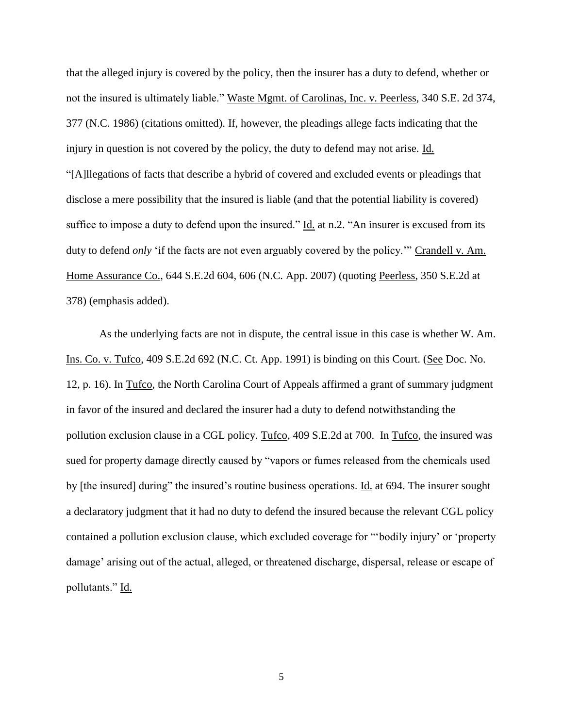that the alleged injury is covered by the policy, then the insurer has a duty to defend, whether or not the insured is ultimately liable." Waste Mgmt. of Carolinas, Inc. v. Peerless, 340 S.E. 2d 374, 377 (N.C. 1986) (citations omitted). If, however, the pleadings allege facts indicating that the injury in question is not covered by the policy, the duty to defend may not arise. Id. "[A]llegations of facts that describe a hybrid of covered and excluded events or pleadings that disclose a mere possibility that the insured is liable (and that the potential liability is covered) suffice to impose a duty to defend upon the insured." Id. at n.2. "An insurer is excused from its duty to defend *only* 'if the facts are not even arguably covered by the policy.'" Crandell v. Am. Home Assurance Co., 644 S.E.2d 604, 606 (N.C. App. 2007) (quoting Peerless, 350 S.E.2d at 378) (emphasis added).

As the underlying facts are not in dispute, the central issue in this case is whether W. Am. Ins. Co. v. Tufco, 409 S.E.2d 692 (N.C. Ct. App. 1991) is binding on this Court. (See Doc. No. 12, p. 16). In Tufco, the North Carolina Court of Appeals affirmed a grant of summary judgment in favor of the insured and declared the insurer had a duty to defend notwithstanding the pollution exclusion clause in a CGL policy. Tufco, 409 S.E.2d at 700. In Tufco, the insured was sued for property damage directly caused by "vapors or fumes released from the chemicals used by [the insured] during" the insured's routine business operations. Id. at 694. The insurer sought a declaratory judgment that it had no duty to defend the insured because the relevant CGL policy contained a pollution exclusion clause, which excluded coverage for "'bodily injury' or 'property damage' arising out of the actual, alleged, or threatened discharge, dispersal, release or escape of pollutants." Id.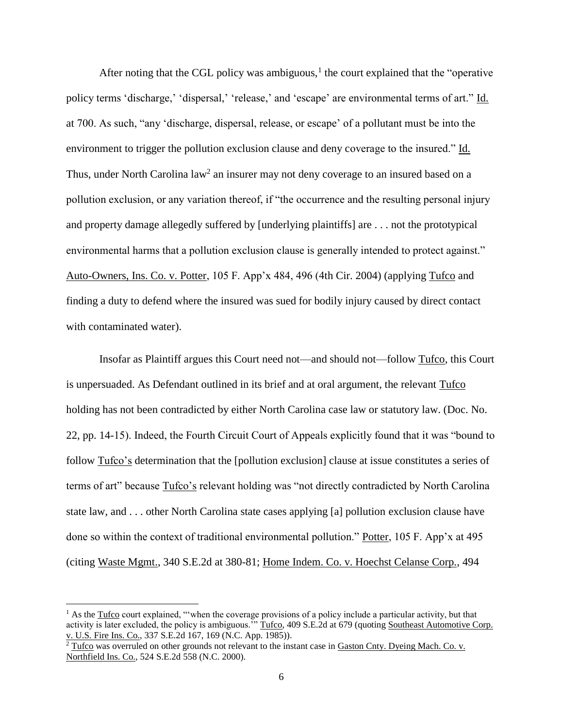After noting that the CGL policy was ambiguous, $<sup>1</sup>$  the court explained that the "operative"</sup> policy terms 'discharge,' 'dispersal,' 'release,' and 'escape' are environmental terms of art." Id. at 700. As such, "any 'discharge, dispersal, release, or escape' of a pollutant must be into the environment to trigger the pollution exclusion clause and deny coverage to the insured." Id. Thus, under North Carolina  $law<sup>2</sup>$  an insurer may not deny coverage to an insured based on a pollution exclusion, or any variation thereof, if "the occurrence and the resulting personal injury and property damage allegedly suffered by [underlying plaintiffs] are . . . not the prototypical environmental harms that a pollution exclusion clause is generally intended to protect against." Auto-Owners, Ins. Co. v. Potter, 105 F. App'x 484, 496 (4th Cir. 2004) (applying Tufco and finding a duty to defend where the insured was sued for bodily injury caused by direct contact with contaminated water).

Insofar as Plaintiff argues this Court need not—and should not—follow Tufco, this Court is unpersuaded. As Defendant outlined in its brief and at oral argument, the relevant Tufco holding has not been contradicted by either North Carolina case law or statutory law. (Doc. No. 22, pp. 14-15). Indeed, the Fourth Circuit Court of Appeals explicitly found that it was "bound to follow Tufco's determination that the [pollution exclusion] clause at issue constitutes a series of terms of art" because Tufco's relevant holding was "not directly contradicted by North Carolina state law, and . . . other North Carolina state cases applying [a] pollution exclusion clause have done so within the context of traditional environmental pollution." Potter, 105 F. App'x at 495 (citing Waste Mgmt., 340 S.E.2d at 380-81; Home Indem. Co. v. Hoechst Celanse Corp., 494

l

 $1$  As the Tufco court explained, "'when the coverage provisions of a policy include a particular activity, but that activity is later excluded, the policy is ambiguous." Tufco, 409 S.E.2d at 679 (quoting Southeast Automotive Corp. v. U.S. Fire Ins. Co., 337 S.E.2d 167, 169 (N.C. App. 1985)).

 $2 \text{ Tufco}$  was overruled on other grounds not relevant to the instant case in Gaston Cnty. Dyeing Mach. Co. v. Northfield Ins. Co., 524 S.E.2d 558 (N.C. 2000).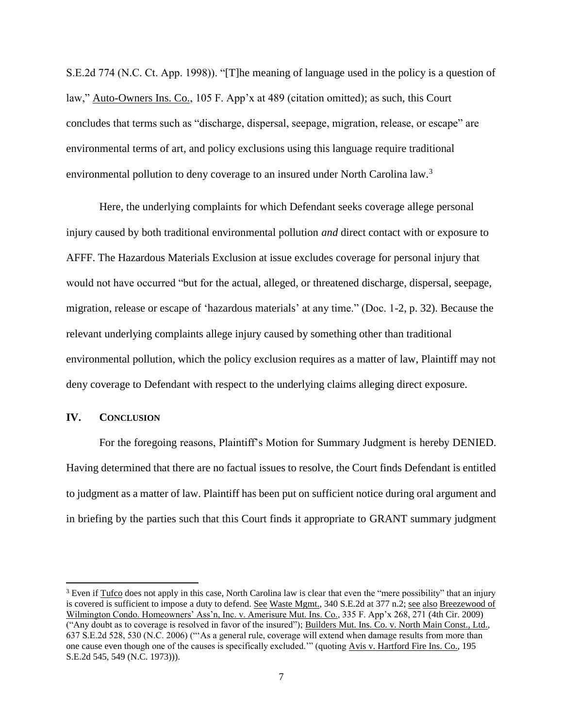S.E.2d 774 (N.C. Ct. App. 1998)). "[T]he meaning of language used in the policy is a question of law," Auto-Owners Ins. Co., 105 F. App'x at 489 (citation omitted); as such, this Court concludes that terms such as "discharge, dispersal, seepage, migration, release, or escape" are environmental terms of art, and policy exclusions using this language require traditional environmental pollution to deny coverage to an insured under North Carolina law.<sup>3</sup>

Here, the underlying complaints for which Defendant seeks coverage allege personal injury caused by both traditional environmental pollution *and* direct contact with or exposure to AFFF. The Hazardous Materials Exclusion at issue excludes coverage for personal injury that would not have occurred "but for the actual, alleged, or threatened discharge, dispersal, seepage, migration, release or escape of 'hazardous materials' at any time." (Doc. 1-2, p. 32). Because the relevant underlying complaints allege injury caused by something other than traditional environmental pollution, which the policy exclusion requires as a matter of law, Plaintiff may not deny coverage to Defendant with respect to the underlying claims alleging direct exposure.

# **IV. CONCLUSION**

 $\overline{\phantom{a}}$ 

For the foregoing reasons, Plaintiff's Motion for Summary Judgment is hereby DENIED. Having determined that there are no factual issues to resolve, the Court finds Defendant is entitled to judgment as a matter of law. Plaintiff has been put on sufficient notice during oral argument and in briefing by the parties such that this Court finds it appropriate to GRANT summary judgment

<sup>&</sup>lt;sup>3</sup> Even if Tufco does not apply in this case, North Carolina law is clear that even the "mere possibility" that an injury is covered is sufficient to impose a duty to defend. See Waste Mgmt., 340 S.E.2d at 377 n.2; see also Breezewood of Wilmington Condo. Homeowners' Ass'n, Inc. v. Amerisure Mut. Ins. Co., 335 F. App'x 268, 271 (4th Cir. 2009) ("Any doubt as to coverage is resolved in favor of the insured"); Builders Mut. Ins. Co. v. North Main Const., Ltd., 637 S.E.2d 528, 530 (N.C. 2006) ("'As a general rule, coverage will extend when damage results from more than one cause even though one of the causes is specifically excluded.'" (quoting Avis v. Hartford Fire Ins. Co., 195 S.E.2d 545, 549 (N.C. 1973))).